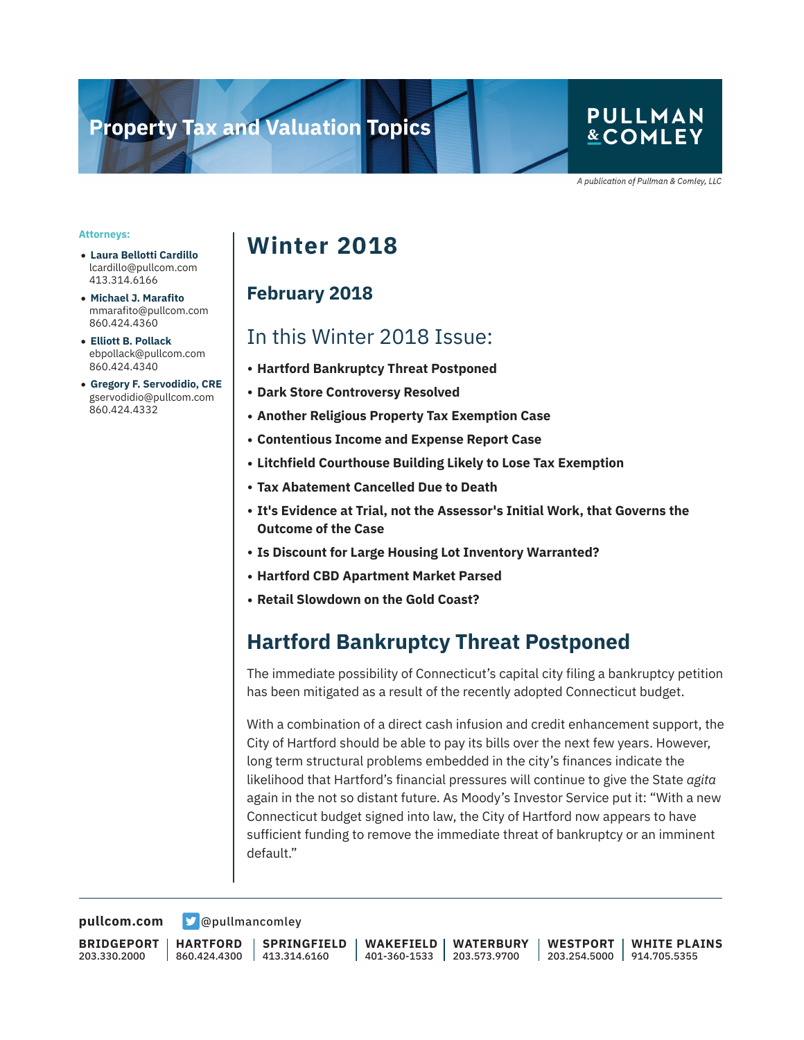# **Property Tax and Valuation Topics**

### **PULLMAN** &COMLEY

A publication of Pullman & Comley, LLC

#### **Attorneys:**

- **Laura Bellotti Cardillo** lcardillo@pullcom.com 413.314.6166
- **Michael J. Marafito** mmarafito@pullcom.com 860.424.4360
- **Elliott B. Pollack** ebpollack@pullcom.com 860.424.4340
- **Gregory F. Servodidio, CRE** gservodidio@pullcom.com 860.424.4332

## **Winter 2018**

#### **February 2018**

### In this Winter 2018 Issue:

- **Hartford Bankruptcy Threat Postponed**
- **Dark Store Controversy Resolved**
- **Another Religious Property Tax Exemption Case**
- **Contentious Income and Expense Report Case**
- **Litchfield Courthouse Building Likely to Lose Tax Exemption**
- **Tax Abatement Cancelled Due to Death**
- **It's Evidence at Trial, not the Assessor's Initial Work, that Governs the Outcome of the Case**
- Is Discount for Large Housing Lot Inventory Warranted?
- **Hartford CBD Apartment Market Parsed**
- **Retail Slowdown on the Gold Coast?**

### **Hartford Bankruptcy Threat Postponed**

The immediate possibility of Connecticut's capital city filing a bankruptcy petition has been mitigated as a result of the recently adopted Connecticut budget.

With a combination of a direct cash infusion and credit enhancement support, the City of Hartford should be able to pay its bills over the next few years. However, long term structural problems embedded in the city's finances indicate the likelihood that Hartford's financial pressures will continue to give the State *agita* again in the not so distant future. As Moody's Investor Service put it: "With a new Connecticut budget signed into law, the City of Hartford now appears to have sufficient funding to remove the immediate threat of bankruptcy or an imminent default."

**[pullcom.com](https://www.pullcom.com) g** [@pullmancomley](https://twitter.com/PullmanComley)

**BRIDGEPORT** 203.330.2000

**HARTFORD** 860.424.4300

**SPRINGFIELD** 413.314.6160

**WAKEFIELD** 401-360-1533 203.573.9700 **WATERBURY WESTPORT**

203.254.5000 914.705.5355 **WHITE PLAINS**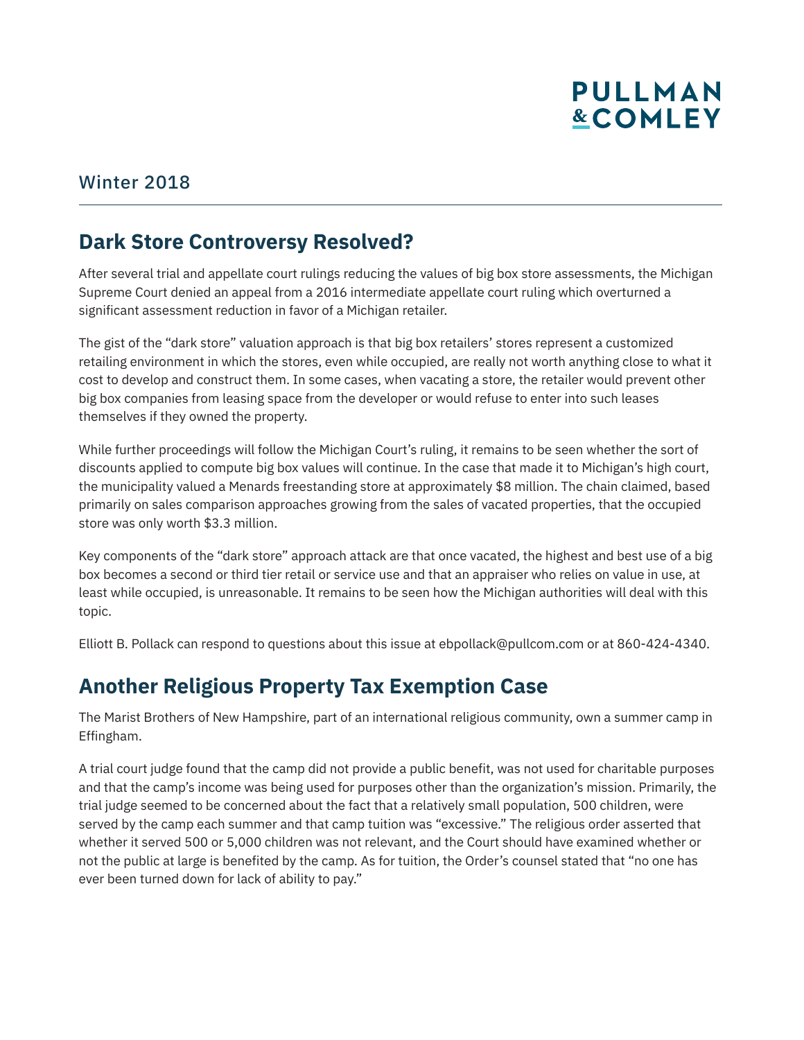#### Winter 2018

### **Dark Store Controversy Resolved?**

After several trial and appellate court rulings reducing the values of big box store assessments, the Michigan Supreme Court denied an appeal from a 2016 intermediate appellate court ruling which overturned a significant assessment reduction in favor of a Michigan retailer.

The gist of the "dark store" valuation approach is that big box retailers' stores represent a customized retailing environment in which the stores, even while occupied, are really not worth anything close to what it cost to develop and construct them. In some cases, when vacating a store, the retailer would prevent other big box companies from leasing space from the developer or would refuse to enter into such leases themselves if they owned the property.

While further proceedings will follow the Michigan Court's ruling, it remains to be seen whether the sort of discounts applied to compute big box values will continue. In the case that made it to Michigan's high court, the municipality valued a Menards freestanding store at approximately \$8 million. The chain claimed, based primarily on sales comparison approaches growing from the sales of vacated properties, that the occupied store was only worth \$3.3 million.

Key components of the "dark store" approach attack are that once vacated, the highest and best use of a big box becomes a second or third tier retail or service use and that an appraiser who relies on value in use, at least while occupied, is unreasonable. It remains to be seen how the Michigan authorities will deal with this topic.

Elliott B. Pollack can respond to questions about this issue at ebpollack@pullcom.com or at 860-424-4340.

### **Another Religious Property Tax Exemption Case**

The Marist Brothers of New Hampshire, part of an international religious community, own a summer camp in Effingham.

A trial court judge found that the camp did not provide a public benefit, was not used for charitable purposes and that the camp's income was being used for purposes other than the organization's mission. Primarily, the trial judge seemed to be concerned about the fact that a relatively small population, 500 children, were served by the camp each summer and that camp tuition was "excessive." The religious order asserted that whether it served 500 or 5,000 children was not relevant, and the Court should have examined whether or not the public at large is benefited by the camp. As for tuition, the Order's counsel stated that "no one has ever been turned down for lack of ability to pay."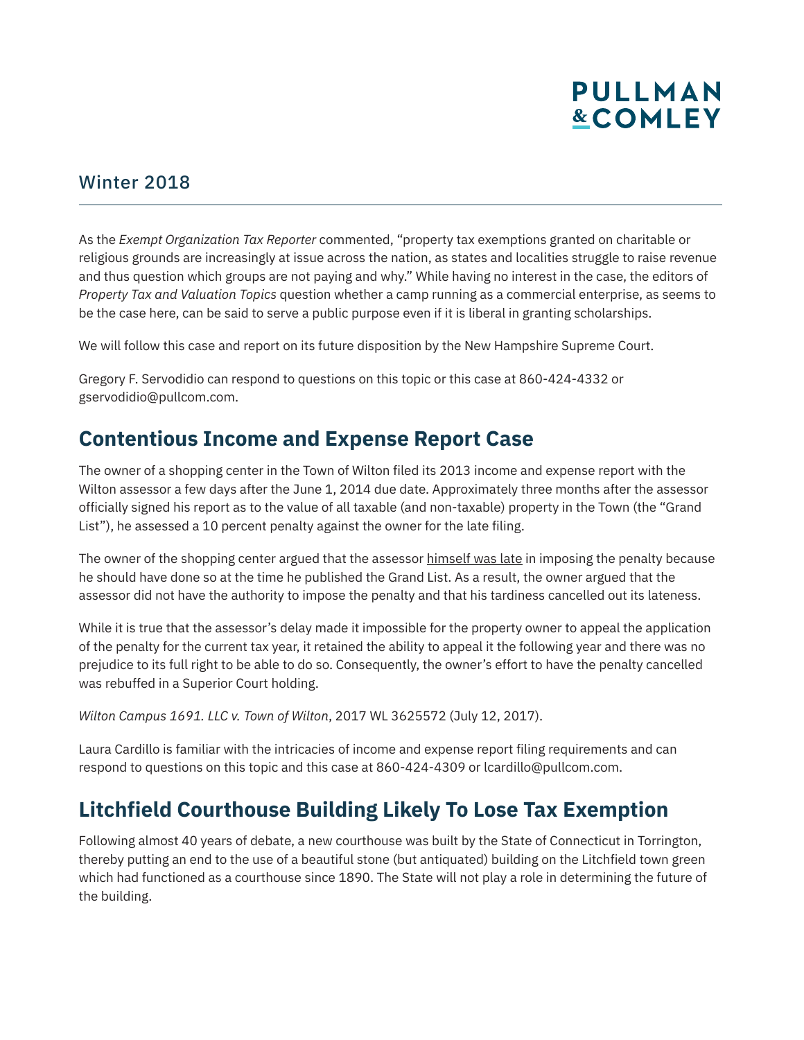#### Winter 2018

As the *Exempt Organization Tax Reporter* commented, "property tax exemptions granted on charitable or religious grounds are increasingly at issue across the nation, as states and localities struggle to raise revenue and thus question which groups are not paying and why." While having no interest in the case, the editors of *Property Tax and Valuation Topics* question whether a camp running as a commercial enterprise, as seems to be the case here, can be said to serve a public purpose even if it is liberal in granting scholarships.

We will follow this case and report on its future disposition by the New Hampshire Supreme Court.

Gregory F. Servodidio can respond to questions on this topic or this case at 860-424-4332 or gservodidio@pullcom.com.

### **Contentious Income and Expense Report Case**

The owner of a shopping center in the Town of Wilton filed its 2013 income and expense report with the Wilton assessor a few days after the June 1, 2014 due date. Approximately three months after the assessor officially signed his report as to the value of all taxable (and non-taxable) property in the Town (the "Grand List"), he assessed a 10 percent penalty against the owner for the late filing.

The owner of the shopping center argued that the assessor himself was late in imposing the penalty because he should have done so at the time he published the Grand List. As a result, the owner argued that the assessor did not have the authority to impose the penalty and that his tardiness cancelled out its lateness.

While it is true that the assessor's delay made it impossible for the property owner to appeal the application of the penalty for the current tax year, it retained the ability to appeal it the following year and there was no prejudice to its full right to be able to do so. Consequently, the owner's effort to have the penalty cancelled was rebuffed in a Superior Court holding.

*Wilton Campus 1691. LLC v. Town of Wilton*, 2017 WL 3625572 (July 12, 2017).

Laura Cardillo is familiar with the intricacies of income and expense report filing requirements and can respond to questions on this topic and this case at 860-424-4309 or lcardillo@pullcom.com.

### **Litchfield Courthouse Building Likely To Lose Tax Exemption**

Following almost 40 years of debate, a new courthouse was built by the State of Connecticut in Torrington, thereby putting an end to the use of a beautiful stone (but antiquated) building on the Litchfield town green which had functioned as a courthouse since 1890. The State will not play a role in determining the future of the building.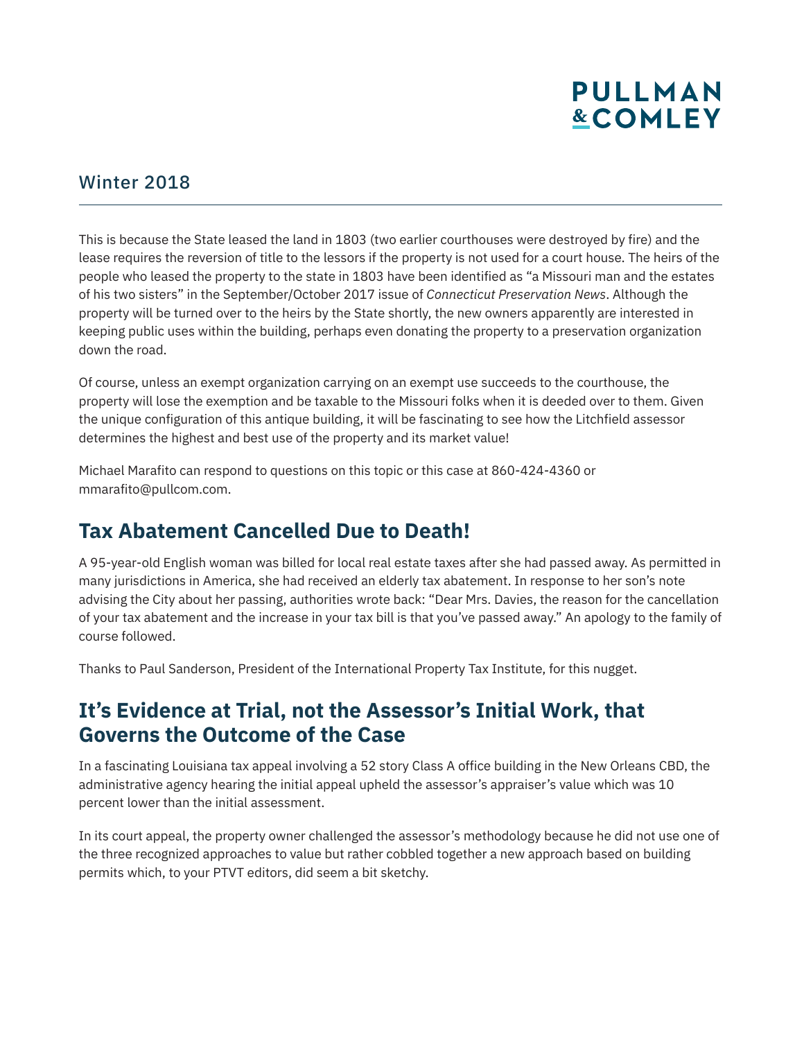#### Winter 2018

This is because the State leased the land in 1803 (two earlier courthouses were destroyed by fire) and the lease requires the reversion of title to the lessors if the property is not used for a court house. The heirs of the people who leased the property to the state in 1803 have been identified as "a Missouri man and the estates of his two sisters" in the September/October 2017 issue of *Connecticut Preservation News*. Although the property will be turned over to the heirs by the State shortly, the new owners apparently are interested in keeping public uses within the building, perhaps even donating the property to a preservation organization down the road.

Of course, unless an exempt organization carrying on an exempt use succeeds to the courthouse, the property will lose the exemption and be taxable to the Missouri folks when it is deeded over to them. Given the unique configuration of this antique building, it will be fascinating to see how the Litchfield assessor determines the highest and best use of the property and its market value!

Michael Marafito can respond to questions on this topic or this case at 860-424-4360 or mmarafito@pullcom.com.

### **Tax Abatement Cancelled Due to Death!**

A 95-year-old English woman was billed for local real estate taxes after she had passed away. As permitted in many jurisdictions in America, she had received an elderly tax abatement. In response to her son's note advising the City about her passing, authorities wrote back: "Dear Mrs. Davies, the reason for the cancellation of your tax abatement and the increase in your tax bill is that you've passed away." An apology to the family of course followed.

Thanks to Paul Sanderson, President of the International Property Tax Institute, for this nugget.

### **It's Evidence at Trial, not the Assessor's Initial Work, that Governs the Outcome of the Case**

In a fascinating Louisiana tax appeal involving a 52 story Class A office building in the New Orleans CBD, the administrative agency hearing the initial appeal upheld the assessor's appraiser's value which was 10 percent lower than the initial assessment.

In its court appeal, the property owner challenged the assessor's methodology because he did not use one of the three recognized approaches to value but rather cobbled together a new approach based on building permits which, to your PTVT editors, did seem a bit sketchy.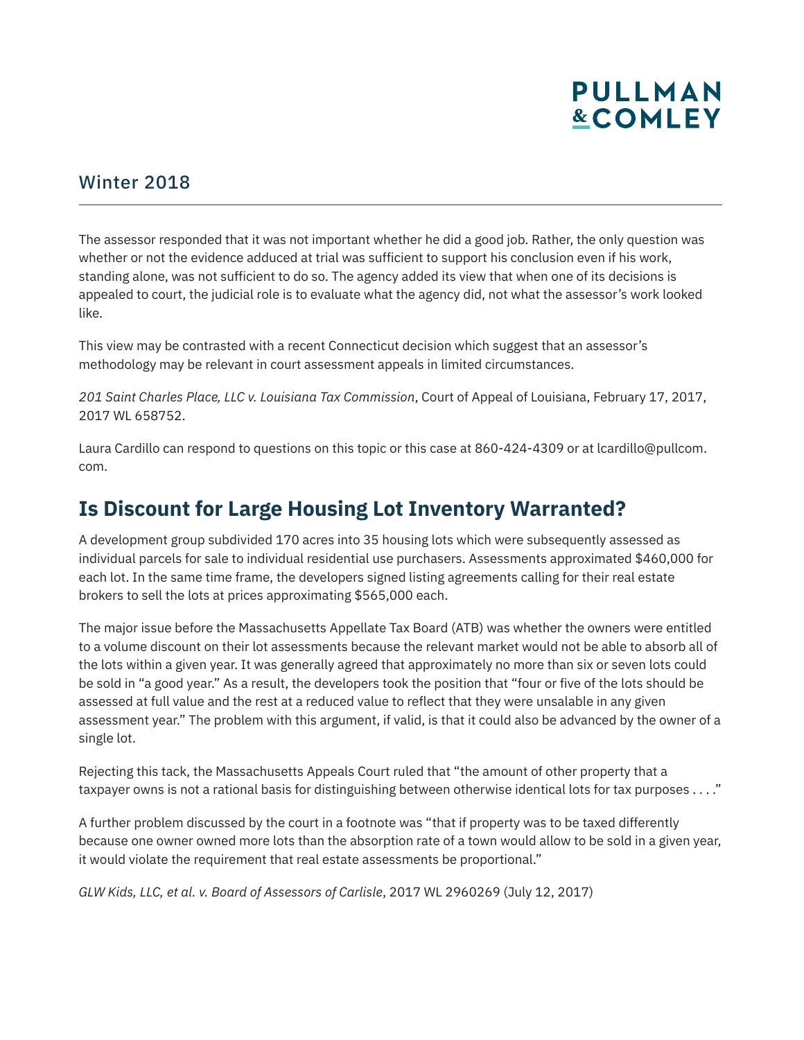#### Winter 2018

The assessor responded that it was not important whether he did a good job. Rather, the only question was whether or not the evidence adduced at trial was sufficient to support his conclusion even if his work, standing alone, was not sufficient to do so. The agency added its view that when one of its decisions is appealed to court, the judicial role is to evaluate what the agency did, not what the assessor's work looked like.

This view may be contrasted with a recent Connecticut decision which suggest that an assessor's methodology may be relevant in court assessment appeals in limited circumstances.

*201 Saint Charles Place, LLC v. Louisiana Tax Commission*, Court of Appeal of Louisiana, February 17, 2017, 2017 WL 658752.

Laura Cardillo can respond to questions on this topic or this case at 860-424-4309 or at lcardillo@pullcom. com.

### **Is Discount for Large Housing Lot Inventory Warranted?**

A development group subdivided 170 acres into 35 housing lots which were subsequently assessed as individual parcels for sale to individual residential use purchasers. Assessments approximated \$460,000 for each lot. In the same time frame, the developers signed listing agreements calling for their real estate brokers to sell the lots at prices approximating \$565,000 each.

The major issue before the Massachusetts Appellate Tax Board (ATB) was whether the owners were entitled to a volume discount on their lot assessments because the relevant market would not be able to absorb all of the lots within a given year. It was generally agreed that approximately no more than six or seven lots could be sold in "a good year." As a result, the developers took the position that "four or five of the lots should be assessed at full value and the rest at a reduced value to reflect that they were unsalable in any given assessment year." The problem with this argument, if valid, is that it could also be advanced by the owner of a single lot.

Rejecting this tack, the Massachusetts Appeals Court ruled that "the amount of other property that a taxpayer owns is not a rational basis for distinguishing between otherwise identical lots for tax purposes . . . ."

A further problem discussed by the court in a footnote was "that if property was to be taxed differently because one owner owned more lots than the absorption rate of a town would allow to be sold in a given year, it would violate the requirement that real estate assessments be proportional."

*GLW Kids, LLC, et al. v. Board of Assessors of Carlisle*, 2017 WL 2960269 (July 12, 2017)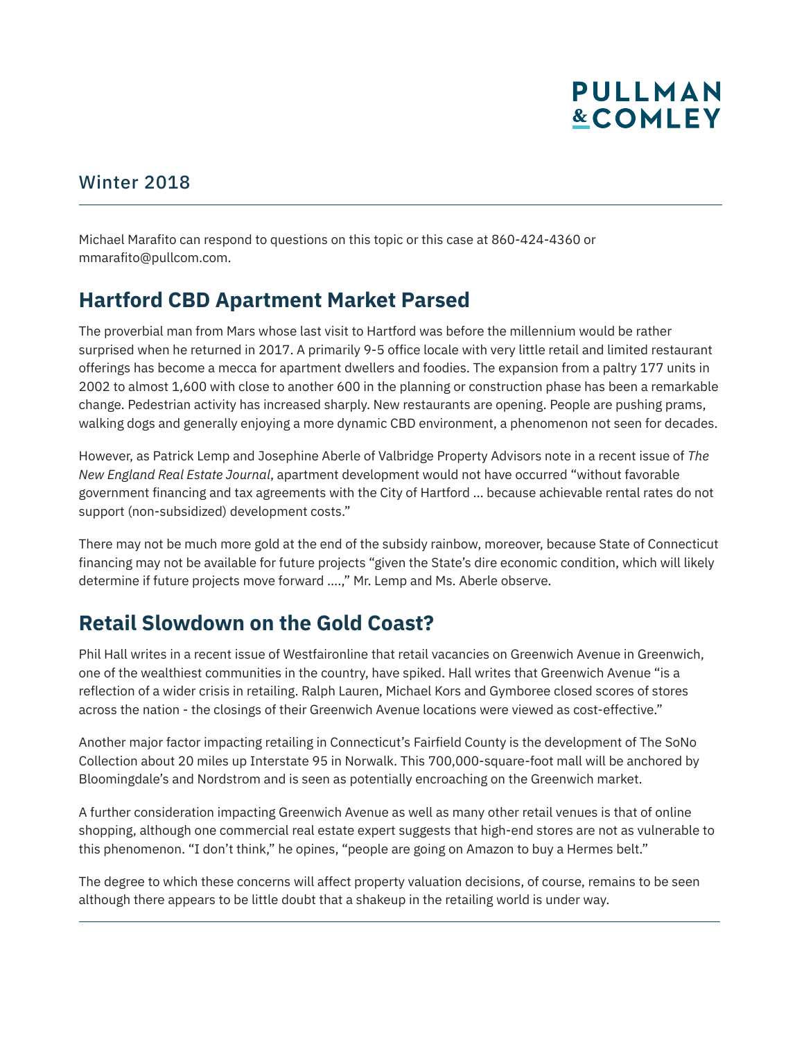#### Winter 2018

l

Michael Marafito can respond to questions on this topic or this case at 860-424-4360 or mmarafito@pullcom.com.

### **Hartford CBD Apartment Market Parsed**

The proverbial man from Mars whose last visit to Hartford was before the millennium would be rather surprised when he returned in 2017. A primarily 9-5 office locale with very little retail and limited restaurant offerings has become a mecca for apartment dwellers and foodies. The expansion from a paltry 177 units in 2002 to almost 1,600 with close to another 600 in the planning or construction phase has been a remarkable change. Pedestrian activity has increased sharply. New restaurants are opening. People are pushing prams, walking dogs and generally enjoying a more dynamic CBD environment, a phenomenon not seen for decades.

However, as Patrick Lemp and Josephine Aberle of Valbridge Property Advisors note in a recent issue of *The New England Real Estate Journal*, apartment development would not have occurred "without favorable government financing and tax agreements with the City of Hartford … because achievable rental rates do not support (non-subsidized) development costs."

There may not be much more gold at the end of the subsidy rainbow, moreover, because State of Connecticut financing may not be available for future projects "given the State's dire economic condition, which will likely determine if future projects move forward ….," Mr. Lemp and Ms. Aberle observe.

### **Retail Slowdown on the Gold Coast?**

Phil Hall writes in a recent issue of Westfaironline that retail vacancies on Greenwich Avenue in Greenwich, one of the wealthiest communities in the country, have spiked. Hall writes that Greenwich Avenue "is a reflection of a wider crisis in retailing. Ralph Lauren, Michael Kors and Gymboree closed scores of stores across the nation - the closings of their Greenwich Avenue locations were viewed as cost-effective."

Another major factor impacting retailing in Connecticut's Fairfield County is the development of The SoNo Collection about 20 miles up Interstate 95 in Norwalk. This 700,000-square-foot mall will be anchored by Bloomingdale's and Nordstrom and is seen as potentially encroaching on the Greenwich market.

A further consideration impacting Greenwich Avenue as well as many other retail venues is that of online shopping, although one commercial real estate expert suggests that high-end stores are not as vulnerable to this phenomenon. "I don't think," he opines, "people are going on Amazon to buy a Hermes belt."

The degree to which these concerns will affect property valuation decisions, of course, remains to be seen although there appears to be little doubt that a shakeup in the retailing world is under way.